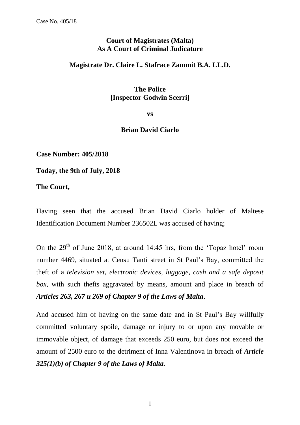## **Court of Magistrates (Malta) As A Court of Criminal Judicature**

## **Magistrate Dr. Claire L. Stafrace Zammit B.A. LL.D.**

## **The Police [Inspector Godwin Scerri]**

**vs**

## **Brian David Ciarlo**

**Case Number: 405/2018**

**Today, the 9th of July, 2018**

**The Court,**

Having seen that the accused Brian David Ciarlo holder of Maltese Identification Document Number 236502L was accused of having;

On the  $29<sup>th</sup>$  of June 2018, at around 14:45 hrs, from the 'Topaz hotel' room number 4469, situated at Censu Tanti street in St Paul's Bay, committed the theft of a *television set, electronic devices, luggage, cash and a safe deposit box,* with such thefts aggravated by means, amount and place in breach of *Articles 263, 267 u 269 of Chapter 9 of the Laws of Malta*.

And accused him of having on the same date and in St Paul's Bay willfully committed voluntary spoile, damage or injury to or upon any movable or immovable object, of damage that exceeds 250 euro, but does not exceed the amount of 2500 euro to the detriment of Inna Valentinova in breach of *Article 325(1)(b) of Chapter 9 of the Laws of Malta.*

1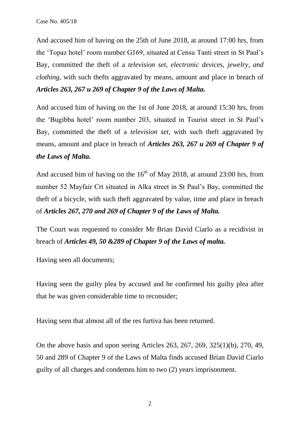And accused him of having on the 25th of June 2018, at around 17:00 hrs, from the 'Topaz hotel' room number G169, situated at Censu Tanti street in St Paul's Bay, committed the theft of a *television set, electronic devices, jewelry, and clothing*, with such thefts aggravated by means, amount and place in breach of *Articles 263, 267 u 269 of Chapter 9 of the Laws of Malta.*

And accused him of having on the 1st of June 2018, at around 15:30 hrs, from the 'Bugibba hotel' room number 203, situated in Tourist street in St Paul's Bay, committed the theft of a *television set*, with such theft aggravated by means, amount and place in breach of *Articles 263, 267 u 269 of Chapter 9 of the Laws of Malta.*

And accused him of having on the  $16<sup>th</sup>$  of May 2018, at around 23:00 hrs, from number 52 Mayfair Crt situated in Alka street in St Paul's Bay, committed the theft of a bicycle, with such theft aggravated by value, time and place in breach of *Articles 267, 270 and 269 of Chapter 9 of the Laws of Malta.*

The Court was requested to consider Mr Brian David Ciarlo as a recidivist in breach of *Articles 49, 50 &289 of Chapter 9 of the Laws of malta.*

Having seen all documents;

Having seen the guilty plea by accused and he confirmed his guilty plea after that he was given considerable time to reconsider;

Having seen that almost all of the res furtiva has been returned.

On the above basis and upon seeing Articles 263, 267, 269, 325(1)(b), 270, 49, 50 and 289 of Chapter 9 of the Laws of Malta finds accused Brian David Ciarlo guilty of all charges and condemns him to two (2) years imprisonment.